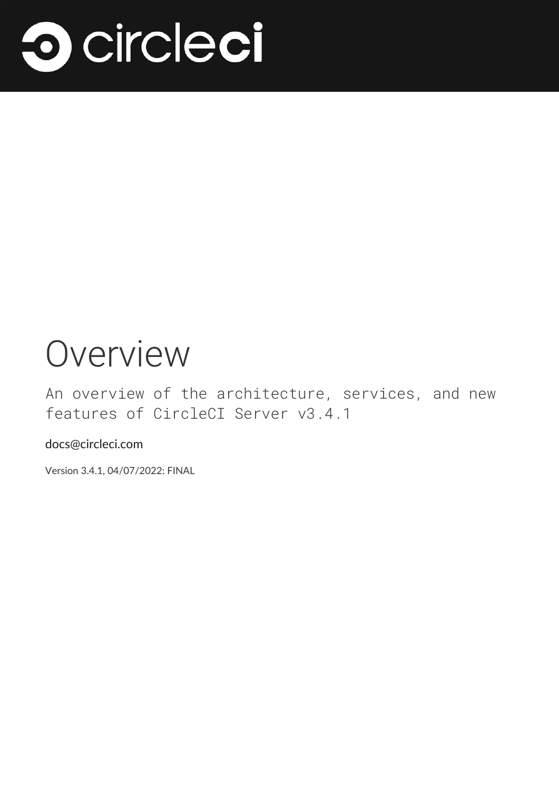

# Overview

An overview of the architecture, services, and new features of CircleCI Server v3.4.1

docs@circleci.com

Version 3.4.1, 04/07/2022: FINAL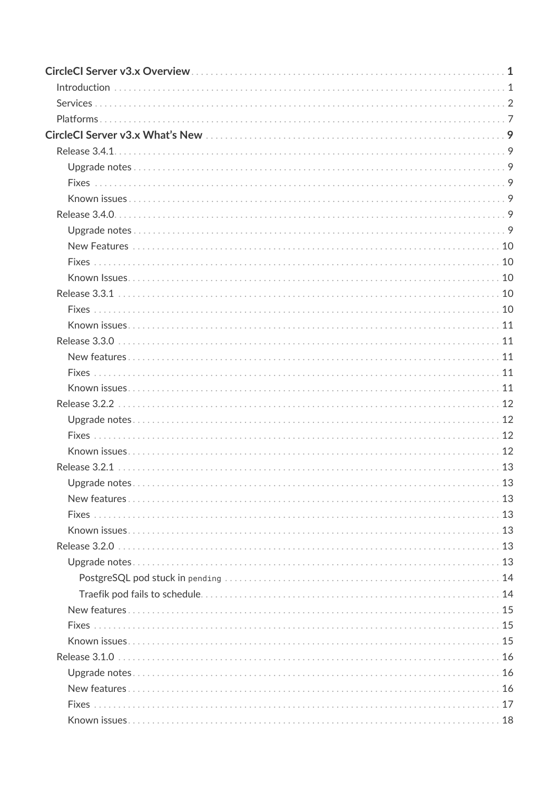| $Introduction \dots 1$ |  |
|------------------------|--|
|                        |  |
|                        |  |
|                        |  |
|                        |  |
|                        |  |
|                        |  |
|                        |  |
|                        |  |
|                        |  |
|                        |  |
|                        |  |
|                        |  |
|                        |  |
|                        |  |
|                        |  |
|                        |  |
|                        |  |
|                        |  |
|                        |  |
|                        |  |
|                        |  |
|                        |  |
|                        |  |
|                        |  |
|                        |  |
|                        |  |
|                        |  |
|                        |  |
|                        |  |
|                        |  |
|                        |  |
|                        |  |
|                        |  |
|                        |  |
|                        |  |
|                        |  |
|                        |  |
|                        |  |
|                        |  |
|                        |  |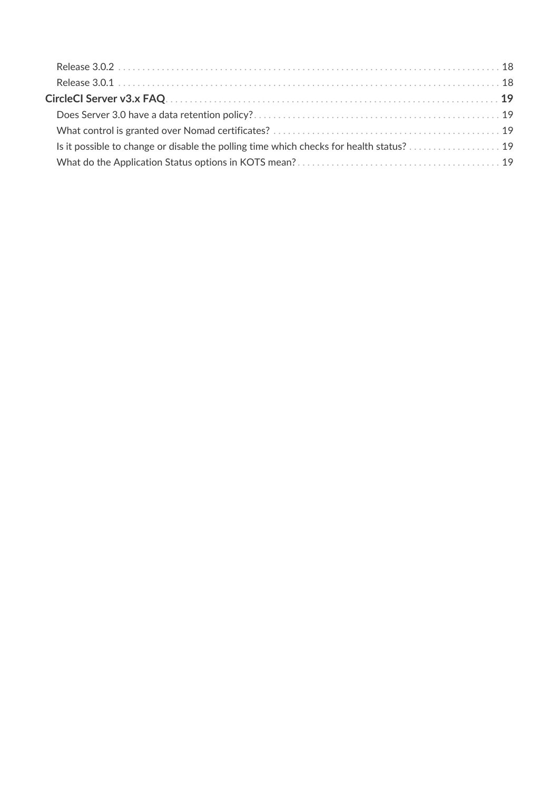| Is it possible to change or disable the polling time which checks for health status? 19 |  |
|-----------------------------------------------------------------------------------------|--|
|                                                                                         |  |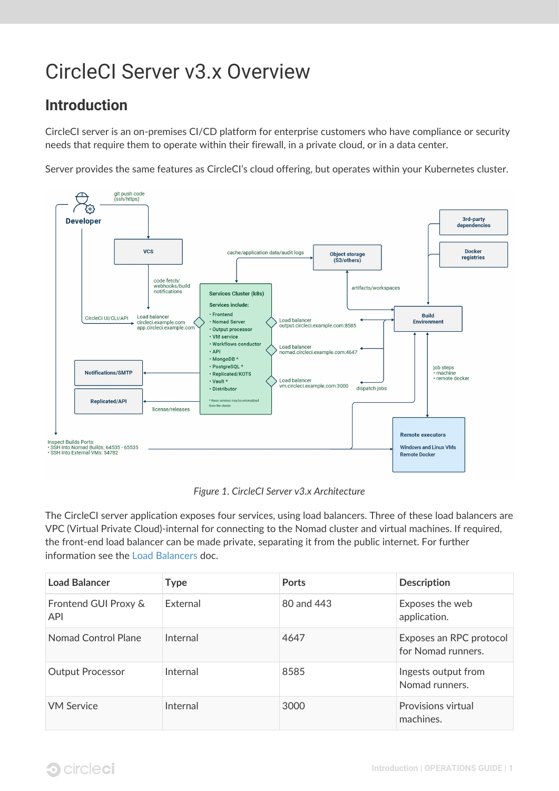## <span id="page-3-0"></span>CircleCI Server v3.x Overview

## <span id="page-3-1"></span>**Introduction**

CircleCI server is an on-premises CI/CD platform for enterprise customers who have compliance or security needs that require them to operate within their firewall, in a private cloud, or in a data center.

Server provides the same features as CircleCI's cloud offering, but operates within your Kubernetes cluster.



*Figure 1. CircleCI Server v3.x Architecture*

The CircleCI server application exposes four services, using load balancers. Three of these load balancers are VPC (Virtual Private Cloud)-internal for connecting to the Nomad cluster and virtual machines. If required, the front-end load balancer can be made private, separating it from the public internet. For further information see the [Load Balancers](https://circleci.com/docs/2.0/server-3-operator-load-balancers/) doc.

| <b>Load Balancer</b>               | <b>Type</b> | <b>Ports</b> | <b>Description</b>                            |
|------------------------------------|-------------|--------------|-----------------------------------------------|
| Frontend GUI Proxy &<br><b>API</b> | External    | 80 and 443   | Exposes the web<br>application.               |
| Nomad Control Plane                | Internal    | 4647         | Exposes an RPC protocol<br>for Nomad runners. |
| <b>Output Processor</b>            | Internal    | 8585         | Ingests output from<br>Nomad runners.         |
| <b>VM Service</b>                  | Internal    | 3000         | <b>Provisions virtual</b><br>machines.        |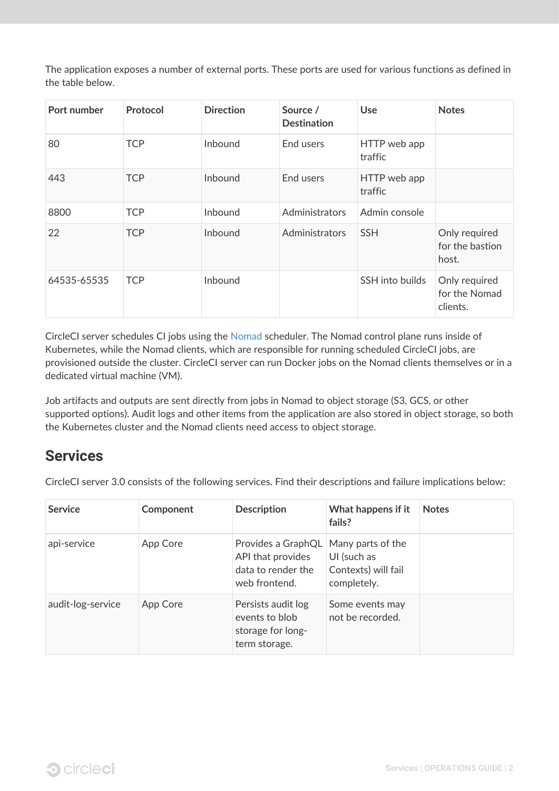The application exposes a number of external ports. These ports are used for various functions as defined in the table below.

| Port number | Protocol   | <b>Direction</b> | Source /<br><b>Destination</b> | <b>Use</b>              | <b>Notes</b>                               |
|-------------|------------|------------------|--------------------------------|-------------------------|--------------------------------------------|
| 80          | <b>TCP</b> | Inbound          | End users                      | HTTP web app<br>traffic |                                            |
| 443         | <b>TCP</b> | Inbound          | End users                      | HTTP web app<br>traffic |                                            |
| 8800        | <b>TCP</b> | Inbound          | Administrators                 | Admin console           |                                            |
| 22          | <b>TCP</b> | Inbound          | Administrators                 | <b>SSH</b>              | Only required<br>for the bastion<br>host.  |
| 64535-65535 | <b>TCP</b> | Inbound          |                                | SSH into builds         | Only required<br>for the Nomad<br>clients. |

CircleCI server schedules CI jobs using the [Nomad](https://www.nomadproject.io/) scheduler. The Nomad control plane runs inside of Kubernetes, while the Nomad clients, which are responsible for running scheduled CircleCI jobs, are provisioned outside the cluster. CircleCI server can run Docker jobs on the Nomad clients themselves or in a dedicated virtual machine (VM).

Job artifacts and outputs are sent directly from jobs in Nomad to object storage (S3, GCS, or other supported options). Audit logs and other items from the application are also stored in object storage, so both the Kubernetes cluster and the Nomad clients need access to object storage.

## <span id="page-4-0"></span>**Services**

CircleCI server 3.0 consists of the following services. Find their descriptions and failure implications below:

| <b>Service</b>    | Component | <b>Description</b>                                                                                 | What happens if it<br>fails?                      | <b>Notes</b> |
|-------------------|-----------|----------------------------------------------------------------------------------------------------|---------------------------------------------------|--------------|
| api-service       | App Core  | Provides a GraphQL   Many parts of the<br>API that provides<br>data to render the<br>web frontend. | UI (such as<br>Contexts) will fail<br>completely. |              |
| audit-log-service | App Core  | Persists audit log<br>events to blob<br>storage for long-<br>term storage.                         | Some events may<br>not be recorded.               |              |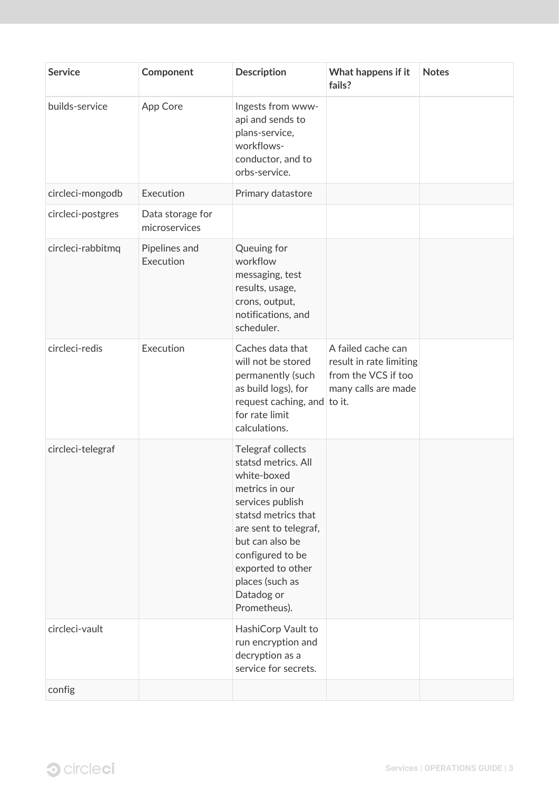| <b>Service</b>    | Component                         | <b>Description</b>                                                                                                                                                                                                                                         | What happens if it<br>fails?                                                                | <b>Notes</b> |
|-------------------|-----------------------------------|------------------------------------------------------------------------------------------------------------------------------------------------------------------------------------------------------------------------------------------------------------|---------------------------------------------------------------------------------------------|--------------|
| builds-service    | App Core                          | Ingests from www-<br>api and sends to<br>plans-service,<br>workflows-<br>conductor, and to<br>orbs-service.                                                                                                                                                |                                                                                             |              |
| circleci-mongodb  | Execution                         | Primary datastore                                                                                                                                                                                                                                          |                                                                                             |              |
| circleci-postgres | Data storage for<br>microservices |                                                                                                                                                                                                                                                            |                                                                                             |              |
| circleci-rabbitmq | Pipelines and<br>Execution        | Queuing for<br>workflow<br>messaging, test<br>results, usage,<br>crons, output,<br>notifications, and<br>scheduler.                                                                                                                                        |                                                                                             |              |
| circleci-redis    | Execution                         | Caches data that<br>will not be stored<br>permanently (such<br>as build logs), for<br>request caching, and to it.<br>for rate limit<br>calculations.                                                                                                       | A failed cache can<br>result in rate limiting<br>from the VCS if too<br>many calls are made |              |
| circleci-telegraf |                                   | Telegraf collects<br>statsd metrics. All<br>white-boxed<br>metrics in our<br>services publish<br>statsd metrics that<br>are sent to telegraf,<br>but can also be<br>configured to be<br>exported to other<br>places (such as<br>Datadog or<br>Prometheus). |                                                                                             |              |
| circleci-vault    |                                   | HashiCorp Vault to<br>run encryption and<br>decryption as a<br>service for secrets.                                                                                                                                                                        |                                                                                             |              |
| config            |                                   |                                                                                                                                                                                                                                                            |                                                                                             |              |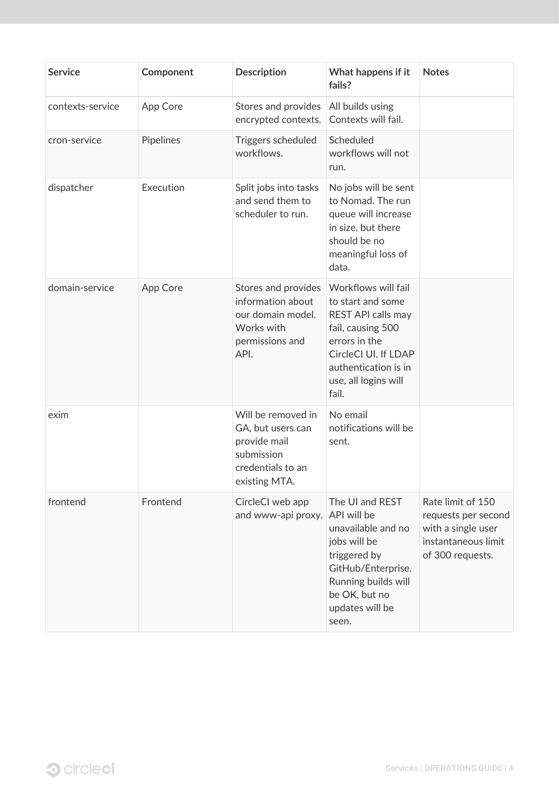| <b>Service</b>   | Component | <b>Description</b>                                                                                          | What happens if it<br>fails?                                                                                                                                                          | <b>Notes</b>                                                                                              |
|------------------|-----------|-------------------------------------------------------------------------------------------------------------|---------------------------------------------------------------------------------------------------------------------------------------------------------------------------------------|-----------------------------------------------------------------------------------------------------------|
| contexts-service | App Core  | Stores and provides<br>encrypted contexts.                                                                  | All builds using<br>Contexts will fail.                                                                                                                                               |                                                                                                           |
| cron-service     | Pipelines | Triggers scheduled<br>workflows.                                                                            | Scheduled<br>workflows will not<br>run.                                                                                                                                               |                                                                                                           |
| dispatcher       | Execution | Split jobs into tasks<br>and send them to<br>scheduler to run.                                              | No jobs will be sent<br>to Nomad. The run<br>queue will increase<br>in size, but there<br>should be no<br>meaningful loss of<br>data.                                                 |                                                                                                           |
| domain-service   | App Core  | Stores and provides<br>information about<br>our domain model.<br>Works with<br>permissions and<br>API.      | Workflows will fail<br>to start and some<br>REST API calls may<br>fail, causing 500<br>errors in the<br>CircleCl UI. If LDAP<br>authentication is in<br>use, all logins will<br>fail. |                                                                                                           |
| exim             |           | Will be removed in<br>GA, but users can<br>provide mail<br>submission<br>credentials to an<br>existing MTA. | No email<br>notifications will be<br>sent.                                                                                                                                            |                                                                                                           |
| frontend         | Frontend  | CircleCl web app<br>and www-api proxy. API will be                                                          | The UI and REST<br>unavailable and no<br>jobs will be<br>triggered by<br>GitHub/Enterprise.<br>Running builds will<br>be OK, but no<br>updates will be<br>seen.                       | Rate limit of 150<br>requests per second<br>with a single user<br>instantaneous limit<br>of 300 requests. |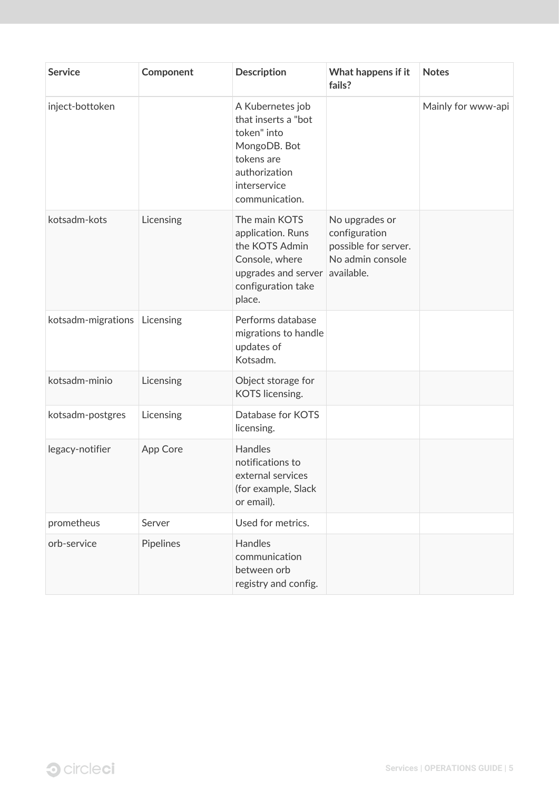| <b>Service</b>     | Component | <b>Description</b>                                                                                                                       | What happens if it<br>fails?                                                | <b>Notes</b>       |
|--------------------|-----------|------------------------------------------------------------------------------------------------------------------------------------------|-----------------------------------------------------------------------------|--------------------|
| inject-bottoken    |           | A Kubernetes job<br>that inserts a "bot<br>token" into<br>MongoDB. Bot<br>tokens are<br>authorization<br>interservice<br>communication.  |                                                                             | Mainly for www-api |
| kotsadm-kots       | Licensing | The main KOTS<br>application. Runs<br>the KOTS Admin<br>Console, where<br>upgrades and server available.<br>configuration take<br>place. | No upgrades or<br>configuration<br>possible for server.<br>No admin console |                    |
| kotsadm-migrations | Licensing | Performs database<br>migrations to handle<br>updates of<br>Kotsadm.                                                                      |                                                                             |                    |
| kotsadm-minio      | Licensing | Object storage for<br>KOTS licensing.                                                                                                    |                                                                             |                    |
| kotsadm-postgres   | Licensing | Database for KOTS<br>licensing.                                                                                                          |                                                                             |                    |
| legacy-notifier    | App Core  | Handles<br>notifications to<br>external services<br>(for example, Slack<br>or email).                                                    |                                                                             |                    |
| prometheus         | Server    | Used for metrics.                                                                                                                        |                                                                             |                    |
| orb-service        | Pipelines | Handles<br>communication<br>between orb<br>registry and config.                                                                          |                                                                             |                    |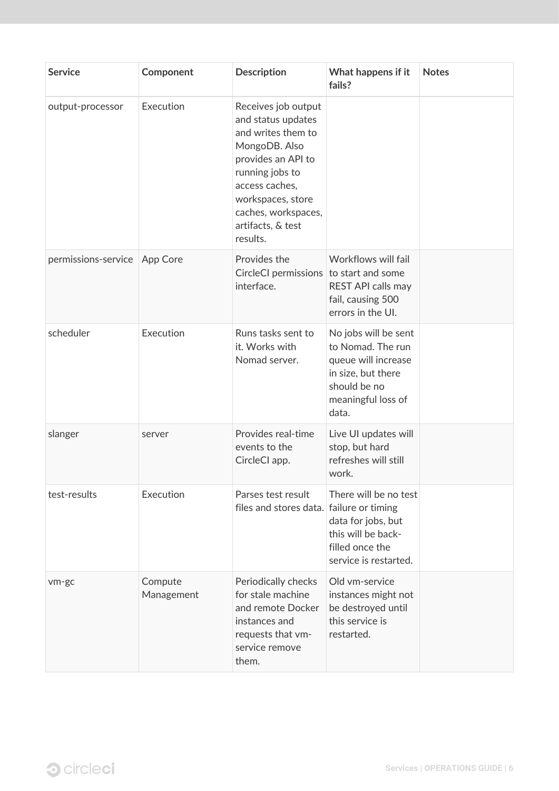| <b>Service</b>      | Component             | <b>Description</b>                                                                                                                                                                                                       | What happens if it<br>fails?                                                                                                          | <b>Notes</b> |
|---------------------|-----------------------|--------------------------------------------------------------------------------------------------------------------------------------------------------------------------------------------------------------------------|---------------------------------------------------------------------------------------------------------------------------------------|--------------|
| output-processor    | Execution             | Receives job output<br>and status updates<br>and writes them to<br>MongoDB. Also<br>provides an API to<br>running jobs to<br>access caches,<br>workspaces, store<br>caches, workspaces,<br>artifacts, & test<br>results. |                                                                                                                                       |              |
| permissions-service | App Core              | Provides the<br>CircleCI permissions to start and some<br>interface.                                                                                                                                                     | Workflows will fail<br>REST API calls may<br>fail, causing 500<br>errors in the UI.                                                   |              |
| scheduler           | Execution             | Runs tasks sent to<br>it. Works with<br>Nomad server.                                                                                                                                                                    | No jobs will be sent<br>to Nomad. The run<br>queue will increase<br>in size, but there<br>should be no<br>meaningful loss of<br>data. |              |
| slanger             | server                | Provides real-time<br>events to the<br>CircleCl app.                                                                                                                                                                     | Live UI updates will<br>stop, but hard<br>refreshes will still<br>work.                                                               |              |
| test-results        | Execution             | Parses test result<br>files and stores data. failure or timing                                                                                                                                                           | There will be no test<br>data for jobs, but<br>this will be back-<br>filled once the<br>service is restarted.                         |              |
| vm-gc               | Compute<br>Management | Periodically checks<br>for stale machine<br>and remote Docker<br>instances and<br>requests that vm-<br>service remove<br>them.                                                                                           | Old vm-service<br>instances might not<br>be destroyed until<br>this service is<br>restarted.                                          |              |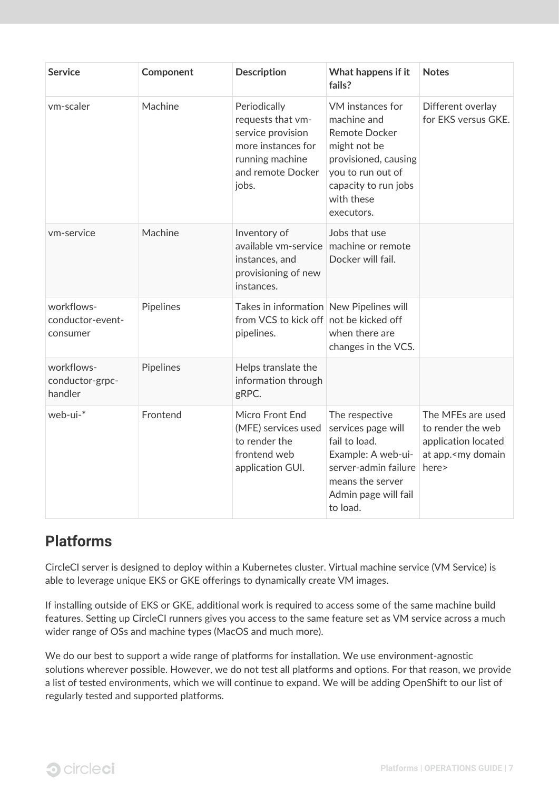| <b>Service</b>                             | Component | <b>Description</b>                                                                                                            | What happens if it<br>fails?                                                                                                                                             | <b>Notes</b>                                                                                            |
|--------------------------------------------|-----------|-------------------------------------------------------------------------------------------------------------------------------|--------------------------------------------------------------------------------------------------------------------------------------------------------------------------|---------------------------------------------------------------------------------------------------------|
| vm-scaler                                  | Machine   | Periodically<br>requests that vm-<br>service provision<br>more instances for<br>running machine<br>and remote Docker<br>jobs. | VM instances for<br>machine and<br><b>Remote Docker</b><br>might not be<br>provisioned, causing<br>you to run out of<br>capacity to run jobs<br>with these<br>executors. | Different overlay<br>for EKS versus GKE.                                                                |
| vm-service                                 | Machine   | Inventory of<br>available vm-service<br>instances, and<br>provisioning of new<br>instances.                                   | Jobs that use<br>machine or remote<br>Docker will fail.                                                                                                                  |                                                                                                         |
| workflows-<br>conductor-event-<br>consumer | Pipelines | Takes in information New Pipelines will<br>from VCS to kick off not be kicked off<br>pipelines.                               | when there are<br>changes in the VCS.                                                                                                                                    |                                                                                                         |
| workflows-<br>conductor-grpc-<br>handler   | Pipelines | Helps translate the<br>information through<br>gRPC.                                                                           |                                                                                                                                                                          |                                                                                                         |
| web-ui-*                                   | Frontend  | Micro Front End<br>(MFE) services used<br>to render the<br>frontend web<br>application GUI.                                   | The respective<br>services page will<br>fail to load.<br>Example: A web-ui-<br>server-admin failure<br>means the server<br>Admin page will fail<br>to load.              | The MFEs are used<br>to render the web<br>application located<br>at app. <my domain<br="">here&gt;</my> |

## <span id="page-9-0"></span>**Platforms**

CircleCI server is designed to deploy within a Kubernetes cluster. Virtual machine service (VM Service) is able to leverage unique EKS or GKE offerings to dynamically create VM images.

If installing outside of EKS or GKE, additional work is required to access some of the same machine build features. Setting up CircleCI runners gives you access to the same feature set as VM service across a much wider range of OSs and machine types (MacOS and much more).

We do our best to support a wide range of platforms for installation. We use environment-agnostic solutions wherever possible. However, we do not test all platforms and options. For that reason, we provide a list of tested environments, which we will continue to expand. We will be adding OpenShift to our list of regularly tested and supported platforms.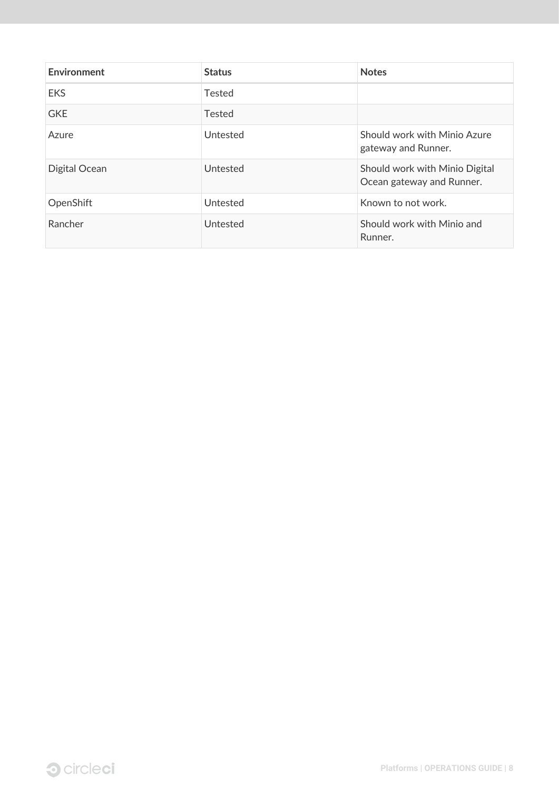| Environment   | <b>Status</b> | <b>Notes</b>                                                |
|---------------|---------------|-------------------------------------------------------------|
| <b>EKS</b>    | Tested        |                                                             |
| <b>GKE</b>    | <b>Tested</b> |                                                             |
| Azure         | Untested      | Should work with Minio Azure<br>gateway and Runner.         |
| Digital Ocean | Untested      | Should work with Minio Digital<br>Ocean gateway and Runner. |
| OpenShift     | Untested      | Known to not work.                                          |
| Rancher       | Untested      | Should work with Minio and<br>Runner.                       |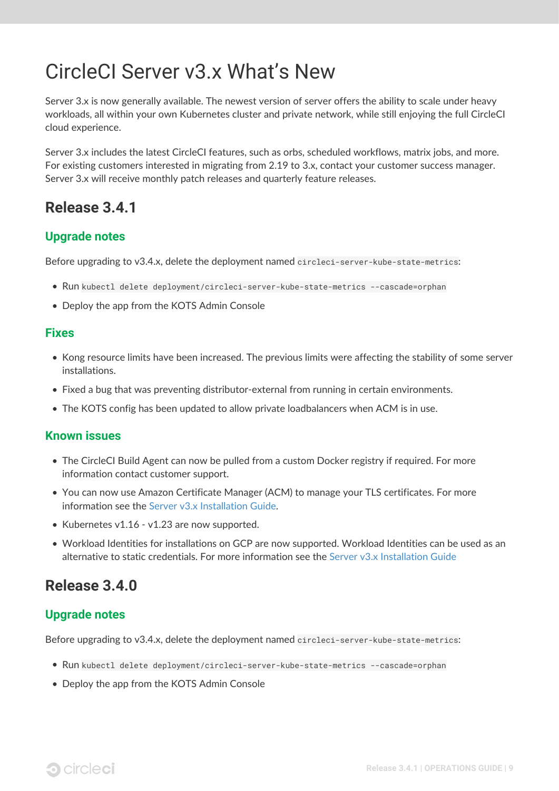## <span id="page-11-0"></span>CircleCI Server v3.x What's New

Server 3.x is now generally available. The newest version of server offers the ability to scale under heavy workloads, all within your own Kubernetes cluster and private network, while still enjoying the full CircleCI cloud experience.

Server 3.x includes the latest CircleCI features, such as orbs, scheduled workflows, matrix jobs, and more. For existing customers interested in migrating from 2.19 to 3.x, contact your customer success manager. Server 3.x will receive monthly patch releases and quarterly feature releases.

## <span id="page-11-1"></span>**Release 3.4.1**

#### <span id="page-11-2"></span>**Upgrade notes**

Before upgrading to v3.4.x, delete the deployment named circleci-server-kube-state-metrics:

- Run kubectl delete deployment/circleci-server-kube-state-metrics --cascade=orphan
- Deploy the app from the KOTS Admin Console

#### <span id="page-11-3"></span>**Fixes**

- Kong resource limits have been increased. The previous limits were affecting the stability of some server installations.
- Fixed a bug that was preventing distributor-external from running in certain environments.
- The KOTS config has been updated to allow private loadbalancers when ACM is in use.

#### <span id="page-11-4"></span>**Known issues**

- The CircleCI Build Agent can now be pulled from a custom Docker registry if required. For more information contact customer support.
- You can now use Amazon Certificate Manager (ACM) to manage your TLS certificates. For more information see the [Server v3.x Installation Guide](https://circleci.com/docs/2.0/server-3-install/#frontend-settings).
- Kubernetes v1.16 v1.23 are now supported.
- Workload Identities for installations on GCP are now supported. Workload Identities can be used as an alternative to static credentials. For more information see the [Server v3.x Installation Guide](https://circleci.com/docs/2.0/server-3-install-prerequisites/#enable-workload-identities-in-gke-optional)

### <span id="page-11-5"></span>**Release 3.4.0**

#### <span id="page-11-6"></span>**Upgrade notes**

Before upgrading to v3.4.x, delete the deployment named circleci-server-kube-state-metrics:

- Run kubectl delete deployment/circleci-server-kube-state-metrics --cascade=orphan
- Deploy the app from the KOTS Admin Console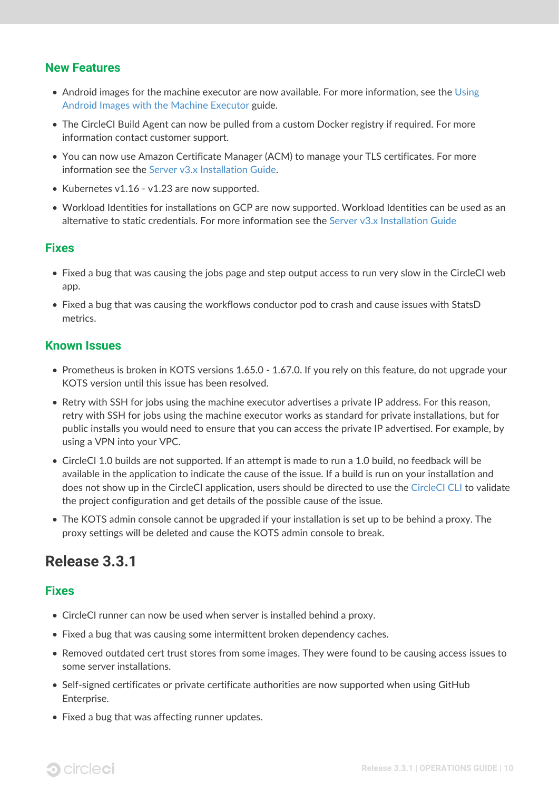#### <span id="page-12-0"></span>**New Features**

- Android images for the machine executor are now available. For more information, see the [Using](https://circleci.com/docs/2.0/android-machine-image/) [Android Images with the Machine Executor](https://circleci.com/docs/2.0/android-machine-image/) guide.
- The CircleCI Build Agent can now be pulled from a custom Docker registry if required. For more information contact customer support.
- You can now use Amazon Certificate Manager (ACM) to manage your TLS certificates. For more information see the [Server v3.x Installation Guide](https://circleci.com/docs/2.0/server-3-install/#frontend-settings).
- Kubernetes v1.16 v1.23 are now supported.
- Workload Identities for installations on GCP are now supported. Workload Identities can be used as an alternative to static credentials. For more information see the [Server v3.x Installation Guide](https://circleci.com/docs/2.0/server-3-install-prerequisites/#enable-workload-identities-in-gke-optional)

#### <span id="page-12-1"></span>**Fixes**

- Fixed a bug that was causing the jobs page and step output access to run very slow in the CircleCI web app.
- Fixed a bug that was causing the workflows conductor pod to crash and cause issues with StatsD metrics.

#### <span id="page-12-2"></span>**Known Issues**

- Prometheus is broken in KOTS versions 1.65.0 1.67.0. If you rely on this feature, do not upgrade your KOTS version until this issue has been resolved.
- Retry with SSH for jobs using the machine executor advertises a private IP address. For this reason, retry with SSH for jobs using the machine executor works as standard for private installations, but for public installs you would need to ensure that you can access the private IP advertised. For example, by using a VPN into your VPC.
- CircleCI 1.0 builds are not supported. If an attempt is made to run a 1.0 build, no feedback will be available in the application to indicate the cause of the issue. If a build is run on your installation and does not show up in the CircleCI application, users should be directed to use the [CircleCI CLI](https://circleci.com/docs/2.0/local-cli/) to validate the project configuration and get details of the possible cause of the issue.
- The KOTS admin console cannot be upgraded if your installation is set up to be behind a proxy. The proxy settings will be deleted and cause the KOTS admin console to break.

## <span id="page-12-3"></span>**Release 3.3.1**

#### <span id="page-12-4"></span>**Fixes**

- CircleCI runner can now be used when server is installed behind a proxy.
- Fixed a bug that was causing some intermittent broken dependency caches.
- Removed outdated cert trust stores from some images. They were found to be causing access issues to some server installations.
- Self-signed certificates or private certificate authorities are now supported when using GitHub Enterprise.
- Fixed a bug that was affecting runner updates.

## **3** circleci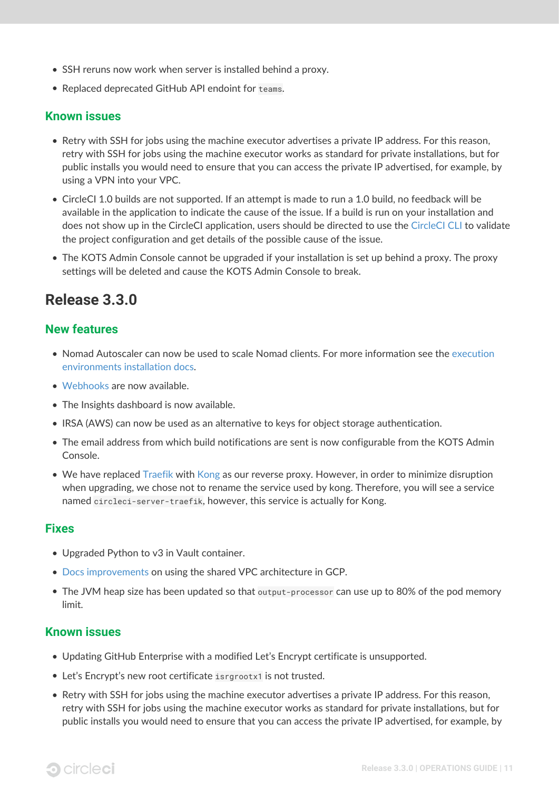- SSH reruns now work when server is installed behind a proxy.
- Replaced deprecated GitHub API endoint for teams.

#### <span id="page-13-0"></span>**Known issues**

- Retry with SSH for jobs using the machine executor advertises a private IP address. For this reason, retry with SSH for jobs using the machine executor works as standard for private installations, but for public installs you would need to ensure that you can access the private IP advertised, for example, by using a VPN into your VPC.
- CircleCI 1.0 builds are not supported. If an attempt is made to run a 1.0 build, no feedback will be available in the application to indicate the cause of the issue. If a build is run on your installation and does not show up in the CircleCI application, users should be directed to use the [CircleCI CLI](https://circleci.com/docs/2.0/local-cli/) to validate the project configuration and get details of the possible cause of the issue.
- The KOTS Admin Console cannot be upgraded if your installation is set up behind a proxy. The proxy settings will be deleted and cause the KOTS Admin Console to break.

## <span id="page-13-1"></span>**Release 3.3.0**

#### <span id="page-13-2"></span>**New features**

- Nomad Autoscaler can now be used to scale Nomad clients. For more information see the [execution](https://circleci.com/docs/2.0/server-3-install-build-services/#nomad-autoscaler) [environments installation docs](https://circleci.com/docs/2.0/server-3-install-build-services/#nomad-autoscaler).
- [Webhooks](https://circleci.com/docs/2.0/webhooks/) are now available.
- The Insights dashboard is now available.
- IRSA (AWS) can now be used as an alternative to keys for object storage authentication.
- The email address from which build notifications are sent is now configurable from the KOTS Admin Console.
- We have replaced [Traefik](https://github.com/traefik/traefik-helm-chart) with [Kong](https://github.com/Kong/charts) as our reverse proxy. However, in order to minimize disruption when upgrading, we chose not to rename the service used by kong. Therefore, you will see a service named circleci-server-traefik, however, this service is actually for Kong.

#### <span id="page-13-3"></span>**Fixes**

- Upgraded Python to v3 in Vault container.
- [Docs improvements](https://circleci.com/docs/2.0/server-3-operator-vm-service/#google-cloud-platform) on using the shared VPC architecture in GCP.
- The JVM heap size has been updated so that output-processor can use up to 80% of the pod memory limit.

#### <span id="page-13-4"></span>**Known issues**

- Updating GitHub Enterprise with a modified Let's Encrypt certificate is unsupported.
- Let's Encrypt's new root certificate isrgrootx1 is not trusted.
- Retry with SSH for jobs using the machine executor advertises a private IP address. For this reason, retry with SSH for jobs using the machine executor works as standard for private installations, but for public installs you would need to ensure that you can access the private IP advertised, for example, by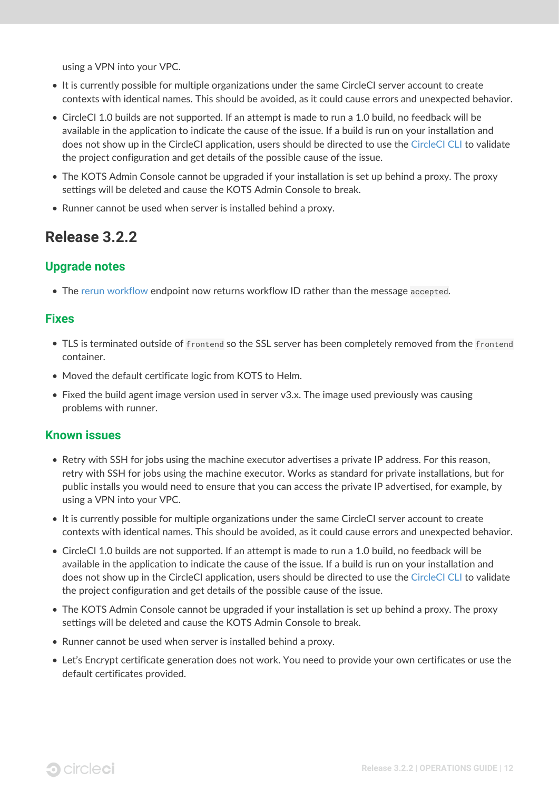using a VPN into your VPC.

- It is currently possible for multiple organizations under the same CircleCI server account to create contexts with identical names. This should be avoided, as it could cause errors and unexpected behavior.
- CircleCI 1.0 builds are not supported. If an attempt is made to run a 1.0 build, no feedback will be available in the application to indicate the cause of the issue. If a build is run on your installation and does not show up in the CircleCI application, users should be directed to use the [CircleCI CLI](https://circleci.com/docs/2.0/local-cli/) to validate the project configuration and get details of the possible cause of the issue.
- The KOTS Admin Console cannot be upgraded if your installation is set up behind a proxy. The proxy settings will be deleted and cause the KOTS Admin Console to break.
- Runner cannot be used when server is installed behind a proxy.

## <span id="page-14-0"></span>**Release 3.2.2**

#### <span id="page-14-1"></span>**Upgrade notes**

• The [rerun workflow](https://circleci.com/docs/api/v2/#operation/rerunWorkflow) endpoint now returns workflow ID rather than the message accepted.

#### <span id="page-14-2"></span>**Fixes**

- TLS is terminated outside of frontend so the SSL server has been completely removed from the frontend container.
- Moved the default certificate logic from KOTS to Helm.
- Fixed the build agent image version used in server v3.x. The image used previously was causing problems with runner.

#### <span id="page-14-3"></span>**Known issues**

- Retry with SSH for jobs using the machine executor advertises a private IP address. For this reason, retry with SSH for jobs using the machine executor. Works as standard for private installations, but for public installs you would need to ensure that you can access the private IP advertised, for example, by using a VPN into your VPC.
- It is currently possible for multiple organizations under the same CircleCI server account to create contexts with identical names. This should be avoided, as it could cause errors and unexpected behavior.
- CircleCI 1.0 builds are not supported. If an attempt is made to run a 1.0 build, no feedback will be available in the application to indicate the cause of the issue. If a build is run on your installation and does not show up in the CircleCI application, users should be directed to use the [CircleCI CLI](https://circleci.com/docs/2.0/local-cli/) to validate the project configuration and get details of the possible cause of the issue.
- The KOTS Admin Console cannot be upgraded if your installation is set up behind a proxy. The proxy settings will be deleted and cause the KOTS Admin Console to break.
- Runner cannot be used when server is installed behind a proxy.
- Let's Encrypt certificate generation does not work. You need to provide your own certificates or use the default certificates provided.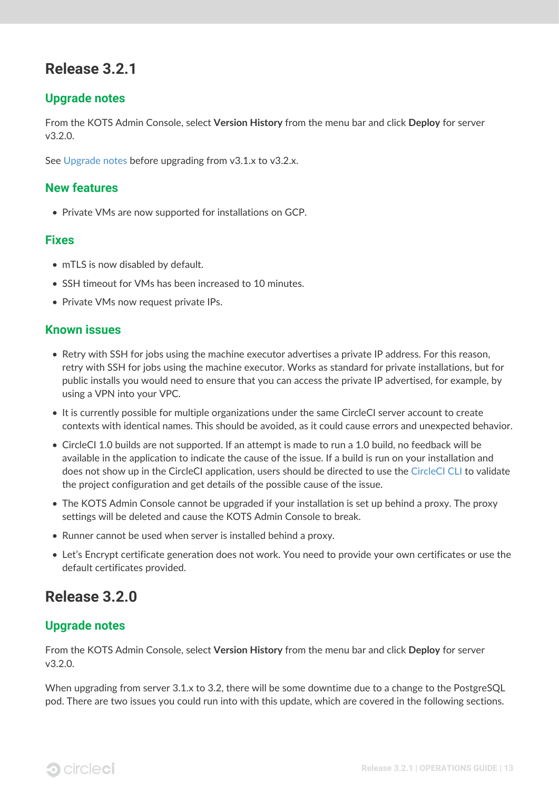## <span id="page-15-0"></span>**Release 3.2.1**

#### <span id="page-15-1"></span>**Upgrade notes**

From the KOTS Admin Console, select **Version History** from the menu bar and click **Deploy** for server v3.2.0.

See [Upgrade notes](#page-11-2) before upgrading from v3.1.x to v3.2.x.

#### <span id="page-15-2"></span>**New features**

• Private VMs are now supported for installations on GCP.

#### <span id="page-15-3"></span>**Fixes**

- mTLS is now disabled by default.
- SSH timeout for VMs has been increased to 10 minutes.
- Private VMs now request private IPs.

#### <span id="page-15-4"></span>**Known issues**

- Retry with SSH for jobs using the machine executor advertises a private IP address. For this reason, retry with SSH for jobs using the machine executor. Works as standard for private installations, but for public installs you would need to ensure that you can access the private IP advertised, for example, by using a VPN into your VPC.
- It is currently possible for multiple organizations under the same CircleCI server account to create contexts with identical names. This should be avoided, as it could cause errors and unexpected behavior.
- CircleCI 1.0 builds are not supported. If an attempt is made to run a 1.0 build, no feedback will be available in the application to indicate the cause of the issue. If a build is run on your installation and does not show up in the CircleCI application, users should be directed to use the [CircleCI CLI](https://circleci.com/docs/2.0/local-cli/) to validate the project configuration and get details of the possible cause of the issue.
- The KOTS Admin Console cannot be upgraded if your installation is set up behind a proxy. The proxy settings will be deleted and cause the KOTS Admin Console to break.
- Runner cannot be used when server is installed behind a proxy.
- Let's Encrypt certificate generation does not work. You need to provide your own certificates or use the default certificates provided.

## <span id="page-15-5"></span>**Release 3.2.0**

#### <span id="page-15-6"></span>**Upgrade notes**

From the KOTS Admin Console, select **Version History** from the menu bar and click **Deploy** for server v3.2.0.

When upgrading from server 3.1.x to 3.2, there will be some downtime due to a change to the PostgreSQL pod. There are two issues you could run into with this update, which are covered in the following sections.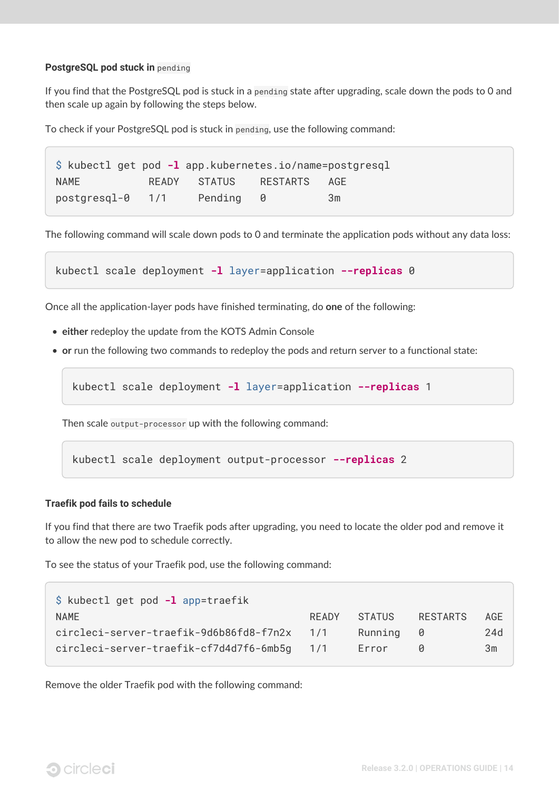#### <span id="page-16-0"></span>**PostgreSQL pod stuck in** pending

If you find that the PostgreSQL pod is stuck in a pending state after upgrading, scale down the pods to 0 and then scale up again by following the steps below.

To check if your PostgreSQL pod is stuck in pending, use the following command:

\$ kubectl get pod **-l** app.kubernetes.io/name=postgresql NAME READY STATUS RESTARTS AGE postgresql-0 1/1 Pending 0 3m

The following command will scale down pods to 0 and terminate the application pods without any data loss:

kubectl scale deployment **-l** layer=application **--replicas** 0

Once all the application-layer pods have finished terminating, do **one** of the following:

- **either** redeploy the update from the KOTS Admin Console
- **or** run the following two commands to redeploy the pods and return server to a functional state:

kubectl scale deployment **-l** layer=application **--replicas** 1

Then scale output-processor up with the following command:

kubectl scale deployment output-processor **--replicas** 2

#### <span id="page-16-1"></span>**Traefik pod fails to schedule**

If you find that there are two Traefik pods after upgrading, you need to locate the older pod and remove it to allow the new pod to schedule correctly.

To see the status of your Traefik pod, use the following command:

| $\Diamond$ kubectl get pod -1 app=traefik   |       |         |                 |     |
|---------------------------------------------|-------|---------|-----------------|-----|
| <b>NAME</b>                                 | READY | STATUS  | <b>RESTARTS</b> | AGE |
| circleci-server-traefik-9d6b86fd8-f7n2x     | 1/1   | Running | - 0             | 24d |
| circleci-server-traefik-cf7d4d7f6-6mb5g 1/1 |       | Error   |                 | 3m  |

Remove the older Traefik pod with the following command: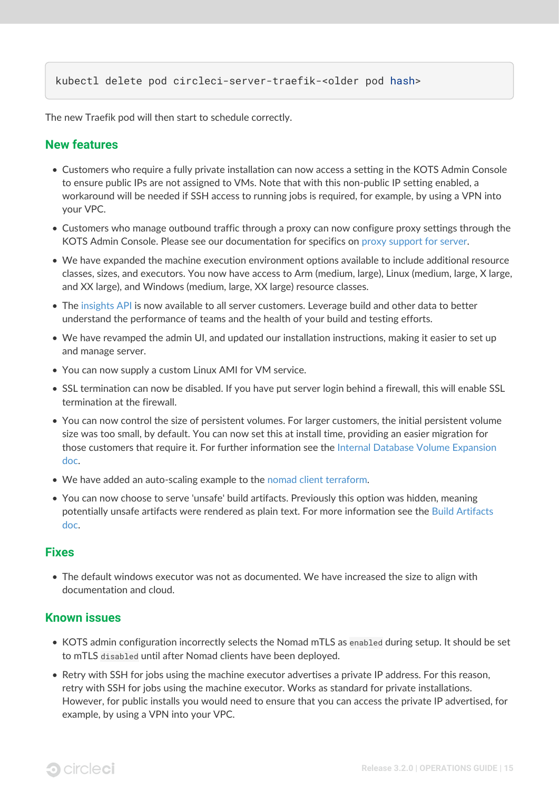#### kubectl delete pod circleci-server-traefik-<older pod hash>

The new Traefik pod will then start to schedule correctly.

#### <span id="page-17-0"></span>**New features**

- Customers who require a fully private installation can now access a setting in the KOTS Admin Console to ensure public IPs are not assigned to VMs. Note that with this non-public IP setting enabled, a workaround will be needed if SSH access to running jobs is required, for example, by using a VPN into your VPC.
- Customers who manage outbound traffic through a proxy can now configure proxy settings through the KOTS Admin Console. Please see our documentation for specifics on [proxy support for server.](https://circleci.com/docs/2.0/server-3-operator-proxy/)
- We have expanded the machine execution environment options available to include additional resource classes, sizes, and executors. You now have access to Arm (medium, large), Linux (medium, large, X large, and XX large), and Windows (medium, large, XX large) resource classes.
- The [insights API](https://circleci.com/docs/2.0/insights/) is now available to all server customers. Leverage build and other data to better understand the performance of teams and the health of your build and testing efforts.
- We have revamped the admin UI, and updated our installation instructions, making it easier to set up and manage server.
- You can now supply a custom Linux AMI for VM service.
- SSL termination can now be disabled. If you have put server login behind a firewall, this will enable SSL termination at the firewall.
- You can now control the size of persistent volumes. For larger customers, the initial persistent volume size was too small, by default. You can now set this at install time, providing an easier migration for those customers that require it. For further information see the [Internal Database Volume Expansion](https://circleci.com/docs/2.0/server-3-operator-extending-internal-volumes/) [doc](https://circleci.com/docs/2.0/server-3-operator-extending-internal-volumes/).
- We have added an auto-scaling example to the [nomad client terraform](https://github.com/CircleCI-Public/server-terraform/blob/main/nomad-aws/main.tf).
- You can now choose to serve 'unsafe' build artifacts. Previously this option was hidden, meaning potentially unsafe artifacts were rendered as plain text. For more information see the [Build Artifacts](https://circleci.com/docs/2.0/server-3-operator-build-artifacts/) [doc](https://circleci.com/docs/2.0/server-3-operator-build-artifacts/).

#### <span id="page-17-1"></span>**Fixes**

• The default windows executor was not as documented. We have increased the size to align with documentation and cloud.

#### <span id="page-17-2"></span>**Known issues**

- KOTS admin configuration incorrectly selects the Nomad mTLS as enabled during setup. It should be set to mTLS disabled until after Nomad clients have been deployed.
- Retry with SSH for jobs using the machine executor advertises a private IP address. For this reason, retry with SSH for jobs using the machine executor. Works as standard for private installations. However, for public installs you would need to ensure that you can access the private IP advertised, for example, by using a VPN into your VPC.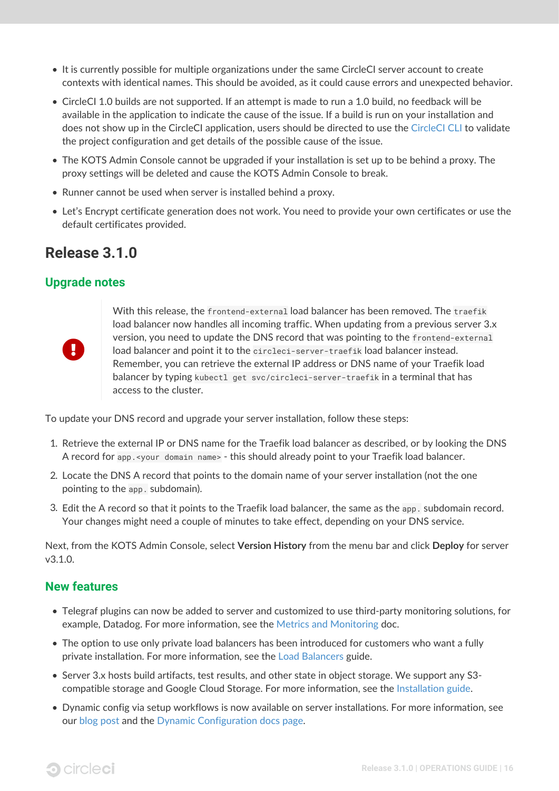- It is currently possible for multiple organizations under the same CircleCI server account to create contexts with identical names. This should be avoided, as it could cause errors and unexpected behavior.
- CircleCI 1.0 builds are not supported. If an attempt is made to run a 1.0 build, no feedback will be available in the application to indicate the cause of the issue. If a build is run on your installation and does not show up in the CircleCI application, users should be directed to use the [CircleCI CLI](https://circleci.com/docs/2.0/local-cli/) to validate the project configuration and get details of the possible cause of the issue.
- The KOTS Admin Console cannot be upgraded if your installation is set up to be behind a proxy. The proxy settings will be deleted and cause the KOTS Admin Console to break.
- Runner cannot be used when server is installed behind a proxy.
- Let's Encrypt certificate generation does not work. You need to provide your own certificates or use the default certificates provided.

### <span id="page-18-0"></span>**Release 3.1.0**

#### <span id="page-18-1"></span>**Upgrade notes**



With this release, the frontend-external load balancer has been removed. The traefik load balancer now handles all incoming traffic. When updating from a previous server 3.x version, you need to update the DNS record that was pointing to the frontend-external load balancer and point it to the circleci-server-traefik load balancer instead. Remember, you can retrieve the external IP address or DNS name of your Traefik load balancer by typing kubectl get svc/circleci-server-traefik in a terminal that has access to the cluster.

To update your DNS record and upgrade your server installation, follow these steps:

- 1. Retrieve the external IP or DNS name for the Traefik load balancer as described, or by looking the DNS A record for app.<your domain name> - this should already point to your Traefik load balancer.
- 2. Locate the DNS A record that points to the domain name of your server installation (not the one pointing to the app. subdomain).
- 3. Edit the A record so that it points to the Traefik load balancer, the same as the app. subdomain record. Your changes might need a couple of minutes to take effect, depending on your DNS service.

Next, from the KOTS Admin Console, select **Version History** from the menu bar and click **Deploy** for server v3.1.0.

#### <span id="page-18-2"></span>**New features**

- Telegraf plugins can now be added to server and customized to use third-party monitoring solutions, for example, Datadog. For more information, see the [Metrics and Monitoring](https://circleci.com/docs/2.0/server-3-operator-metrics-and-monitoring/) doc.
- The option to use only private load balancers has been introduced for customers who want a fully private installation. For more information, see the [Load Balancers](https://circleci.com/docs/2.0/server-3-operator-load-balancers/) guide.
- Server 3.x hosts build artifacts, test results, and other state in object storage. We support any S3 compatible storage and Google Cloud Storage. For more information, see the [Installation guide](https://circleci.com/docs/2.0/server-3-install/).
- Dynamic config via setup workflows is now available on server installations. For more information, see our [blog post](https://circleci.com/blog/introducing-dynamic-config-via-setup-workflows/) and the [Dynamic Configuration docs page.](https://circleci.com/docs/2.0/dynamic-config/)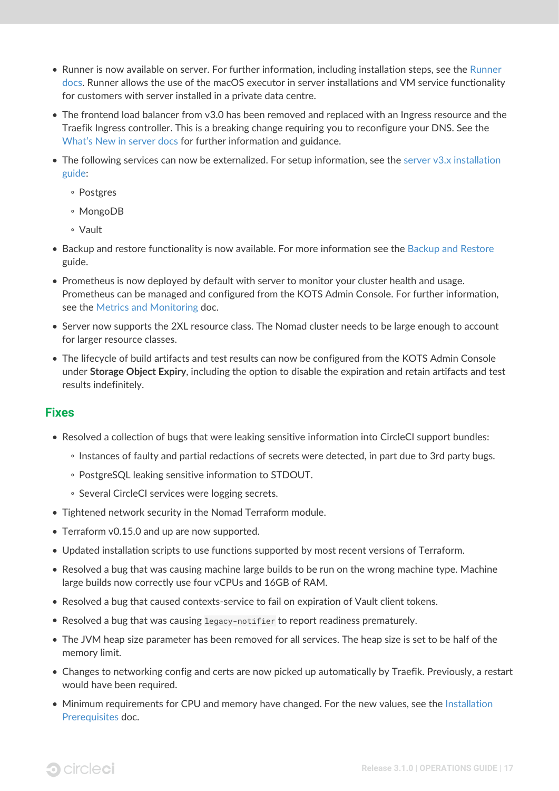- Runner is now available on server. For further information, including installation steps, see the [Runner](https://circleci.com/docs/2.0/runner-overview/?section=executors-and-images) [docs.](https://circleci.com/docs/2.0/runner-overview/?section=executors-and-images) Runner allows the use of the macOS executor in server installations and VM service functionality for customers with server installed in a private data centre.
- The frontend load balancer from v3.0 has been removed and replaced with an Ingress resource and the Traefik Ingress controller. This is a breaking change requiring you to reconfigure your DNS. See the [What's New in server docs](https://circleci.com/docs/2.0/server-3-whats-new/#release-3-1-0) for further information and guidance.
- The following services can now be externalized. For setup information, see the [server v3.x installation](https://circleci.com/docs/2.0/server-3-install/) [guide](https://circleci.com/docs/2.0/server-3-install/):
	- Postgres
	- MongoDB
	- Vault
- Backup and restore functionality is now available. For more information see the [Backup and Restore](https://circleci.com/docs/2.0/server-3-operator-backup-and-restore/) guide.
- Prometheus is now deployed by default with server to monitor your cluster health and usage. Prometheus can be managed and configured from the KOTS Admin Console. For further information, see the [Metrics and Monitoring](https://circleci.com/docs/2.0/server-3-operator-metrics-and-monitoring/) doc.
- Server now supports the 2XL resource class. The Nomad cluster needs to be large enough to account for larger resource classes.
- The lifecycle of build artifacts and test results can now be configured from the KOTS Admin Console under **Storage Object Expiry**, including the option to disable the expiration and retain artifacts and test results indefinitely.

#### <span id="page-19-0"></span>**Fixes**

- Resolved a collection of bugs that were leaking sensitive information into CircleCI support bundles:
	- Instances of faulty and partial redactions of secrets were detected, in part due to 3rd party bugs.
	- PostgreSQL leaking sensitive information to STDOUT.
	- Several CircleCI services were logging secrets.
- Tightened network security in the Nomad Terraform module.
- Terraform v0.15.0 and up are now supported.
- Updated installation scripts to use functions supported by most recent versions of Terraform.
- Resolved a bug that was causing machine large builds to be run on the wrong machine type. Machine large builds now correctly use four vCPUs and 16GB of RAM.
- Resolved a bug that caused contexts-service to fail on expiration of Vault client tokens.
- Resolved a bug that was causing legacy-notifier to report readiness prematurely.
- The JVM heap size parameter has been removed for all services. The heap size is set to be half of the memory limit.
- Changes to networking config and certs are now picked up automatically by Traefik. Previously, a restart would have been required.
- Minimum requirements for CPU and memory have changed. For the new values, see the [Installation](https://circleci.com/docs/2.0/server-3-install-prerequisites/) [Prerequisites](https://circleci.com/docs/2.0/server-3-install-prerequisites/) doc.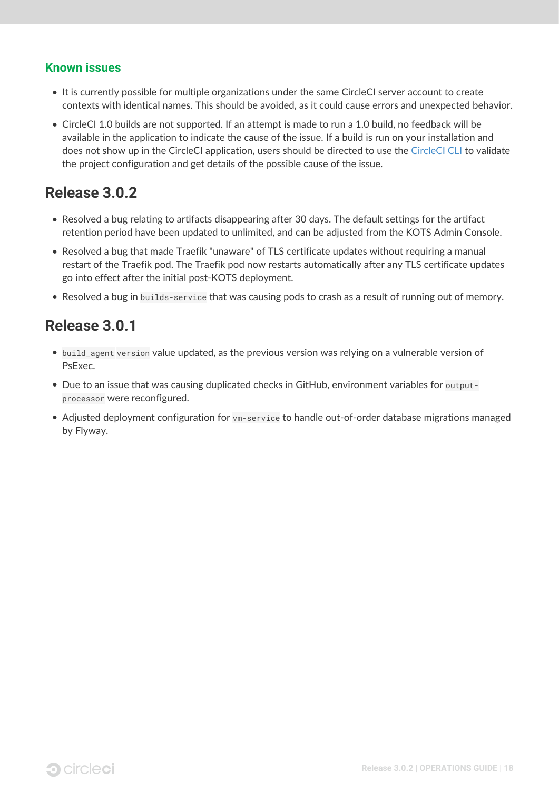#### <span id="page-20-0"></span>**Known issues**

- It is currently possible for multiple organizations under the same CircleCI server account to create contexts with identical names. This should be avoided, as it could cause errors and unexpected behavior.
- CircleCI 1.0 builds are not supported. If an attempt is made to run a 1.0 build, no feedback will be available in the application to indicate the cause of the issue. If a build is run on your installation and does not show up in the CircleCI application, users should be directed to use the [CircleCI CLI](https://circleci.com/docs/2.0/local-cli/) to validate the project configuration and get details of the possible cause of the issue.

## <span id="page-20-1"></span>**Release 3.0.2**

- Resolved a bug relating to artifacts disappearing after 30 days. The default settings for the artifact retention period have been updated to unlimited, and can be adjusted from the KOTS Admin Console.
- Resolved a bug that made Traefik "unaware" of TLS certificate updates without requiring a manual restart of the Traefik pod. The Traefik pod now restarts automatically after any TLS certificate updates go into effect after the initial post-KOTS deployment.
- Resolved a bug in builds-service that was causing pods to crash as a result of running out of memory.

## <span id="page-20-2"></span>**Release 3.0.1**

- build\_agent version value updated, as the previous version was relying on a vulnerable version of PsExec.
- Due to an issue that was causing duplicated checks in GitHub, environment variables for outputprocessor were reconfigured.
- Adjusted deployment configuration for vm-service to handle out-of-order database migrations managed by Flyway.